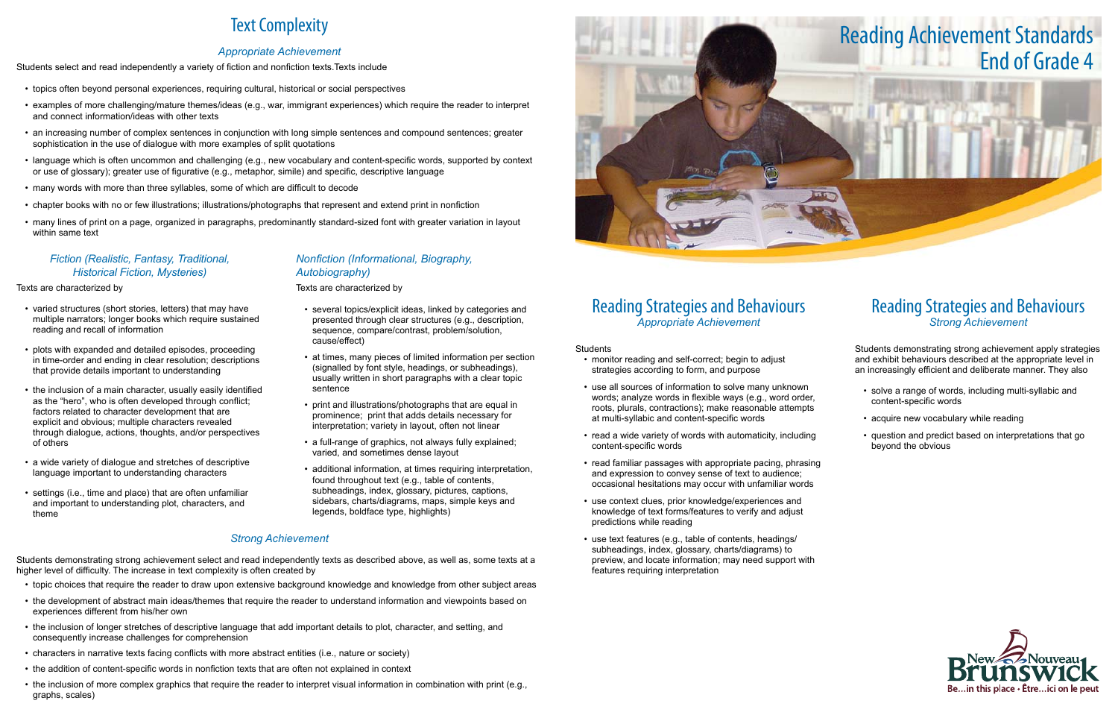## Reading Strategies and Behaviours *Appropriate Achievement*

#### **Students**

- monitor reading and self-correct; begin to adjust strategies according to form, and purpose
- use all sources of information to solve many unknown words; analyze words in flexible ways (e.g., word order, roots, plurals, contractions); make reasonable attempts at multi-syllabic and content-specific words
- read a wide variety of words with automaticity, including content-specific words
- read familiar passages with appropriate pacing, phrasing and expression to convey sense of text to audience; occasional hesitations may occur with unfamiliar words
- use context clues, prior knowledge/experiences and knowledge of text forms/features to verify and adjust predictions while reading
- use text features (e.g., table of contents, headings/ subheadings, index, glossary, charts/diagrams) to preview, and locate information; may need support with features requiring interpretation

- solve a range of words, including multi-syllabic and content-specific words
- acquire new vocabulary while reading
- • question and predict based on interpretations that go beyond the obvious



## Reading Strategies and Behaviours *Strong Achievement*

Students demonstrating strong achievement apply strategies and exhibit behaviours described at the appropriate level in an increasingly efficient and deliberate manner. They also

# Text Complexity

## *Appropriate Achievement*

Students select and read independently a variety of fiction and nonfiction texts.Texts include

- varied structures (short stories, letters) that may have multiple narrators; longer books which require sustained reading and recall of information
- **•** plots with expanded and detailed episodes, proceeding in time-order and ending in clear resolution; descriptions that provide details important to understanding
- the inclusion of a main character, usually easily identified as the "hero", who is often developed through conflict; factors related to character development that are explicit and obvious; multiple characters revealed through dialogue, actions, thoughts, and/or perspectives of others
- a wide variety of dialogue and stretches of descriptive language important to understanding characters
- • settings (i.e., time and place) that are often unfamiliar and important to understanding plot, characters, and theme
- • topics often beyond personal experiences, requiring cultural, historical or social perspectives
- • examples of more challenging/mature themes/ideas (e.g., war, immigrant experiences) which require the reader to interpret and connect information/ideas with other texts
- an increasing number of complex sentences in conjunction with long simple sentences and compound sentences; greater sophistication in the use of dialogue with more examples of split quotations
- • language which is often uncommon and challenging (e.g., new vocabulary and content-specific words, supported by context or use of glossary); greater use of figurative (e.g., metaphor, simile) and specific, descriptive language
- many words with more than three syllables, some of which are difficult to decode
- • chapter books with no or few illustrations; illustrations/photographs that represent and extend print in nonfiction
- • many lines of print on a page, organized in paragraphs, predominantly standard-sized font with greater variation in layout within same text

- several topics/explicit ideas, linked by categories and presented through clear structures (e.g., description, sequence, compare/contrast, problem/solution, cause/effect)
- at times, many pieces of limited information per section (signalled by font style, headings, or subheadings), usually written in short paragraphs with a clear topic sentence
- print and illustrations/photographs that are equal in prominence; print that adds details necessary for interpretation; variety in layout, often not linear
- a full-range of graphics, not always fully explained; varied, and sometimes dense layout
- additional information, at times requiring interpretation, found throughout text (e.g., table of contents, subheadings, index, glossary, pictures, captions, sidebars, charts/diagrams, maps, simple keys and legends, boldface type, highlights)

## *Fiction (Realistic, Fantasy, Traditional, Historical Fiction, Mysteries)*

#### Texts are characterized by

## *Nonfiction (Informational, Biography, Autobiography)*

Texts are characterized by

### *Strong Achievement*

Students demonstrating strong achievement select and read independently texts as described above, as well as, some texts at a higher level of difficulty. The increase in text complexity is often created by

- • topic choices that require the reader to draw upon extensive background knowledge and knowledge from other subject areas
- the development of abstract main ideas/themes that require the reader to understand information and viewpoints based on experiences different from his/her own
- the inclusion of longer stretches of descriptive language that add important details to plot, character, and setting, and consequently increase challenges for comprehension
- • characters in narrative texts facing conflicts with more abstract entities (i.e., nature or society)
- the addition of content-specific words in nonfiction texts that are often not explained in context
- the inclusion of more complex graphics that require the reader to interpret visual information in combination with print (e.g., graphs, scales)